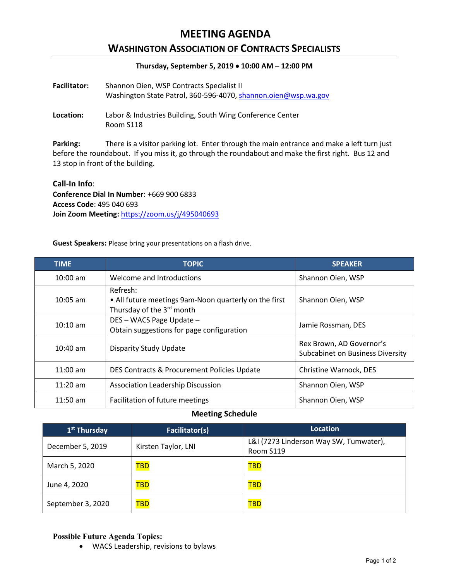# **MEETING AGENDA**

## **WASHINGTON ASSOCIATION OF CONTRACTS SPECIALISTS**

### **Thursday, September 5, 2019** • **10:00 AM – 12:00 PM**

| <b>Facilitator:</b> | Shannon Oien, WSP Contracts Specialist II                      |  |  |
|---------------------|----------------------------------------------------------------|--|--|
|                     | Washington State Patrol, 360-596-4070, shannon.oien@wsp.wa.gov |  |  |

**Location:** Labor & Industries Building, South Wing Conference Center Room S118

**Parking:** There is a visitor parking lot. Enter through the main entrance and make a left turn just before the roundabout. If you miss it, go through the roundabout and make the first right. Bus 12 and 13 stop in front of the building.

### **Call-In Info**:

**Conference Dial In Number**: +669 900 6833 **Access Code**: 495 040 693 **Join Zoom Meeting:** <https://zoom.us/j/495040693>

**Guest Speakers:** Please bring your presentations on a flash drive.

| <b>TIME</b>        | <b>TOPIC</b>                                                                                   | <b>SPEAKER</b>                                                      |
|--------------------|------------------------------------------------------------------------------------------------|---------------------------------------------------------------------|
| $10:00$ am         | Welcome and Introductions                                                                      | Shannon Oien, WSP                                                   |
| $10:05$ am         | Refresh:<br>• All future meetings 9am-Noon quarterly on the first<br>Thursday of the 3rd month | Shannon Oien, WSP                                                   |
| $10:10 \text{ am}$ | DES - WACS Page Update -<br>Obtain suggestions for page configuration                          | Jamie Rossman, DES                                                  |
| $10:40$ am         | <b>Disparity Study Update</b>                                                                  | Rex Brown, AD Governor's<br><b>Subcabinet on Business Diversity</b> |
| $11:00$ am         | DES Contracts & Procurement Policies Update                                                    | Christine Warnock, DES                                              |
| $11:20$ am         | <b>Association Leadership Discussion</b>                                                       | Shannon Oien, WSP                                                   |
| $11:50$ am         | Facilitation of future meetings                                                                | Shannon Oien, WSP                                                   |

### **Meeting Schedule**

| 1 <sup>st</sup> Thursday | Facilitator(s)      | Location                                            |
|--------------------------|---------------------|-----------------------------------------------------|
| December 5, 2019         | Kirsten Taylor, LNI | L&I (7273 Linderson Way SW, Tumwater),<br>Room S119 |
| March 5, 2020            | <b>TBD</b>          | <b>TBD</b>                                          |
| June 4, 2020             | <b>TBD</b>          | <b>TBD</b>                                          |
| September 3, 2020        | <b>TBD</b>          | <b>TBD</b>                                          |

#### **Possible Future Agenda Topics:**

• WACS Leadership, revisions to bylaws